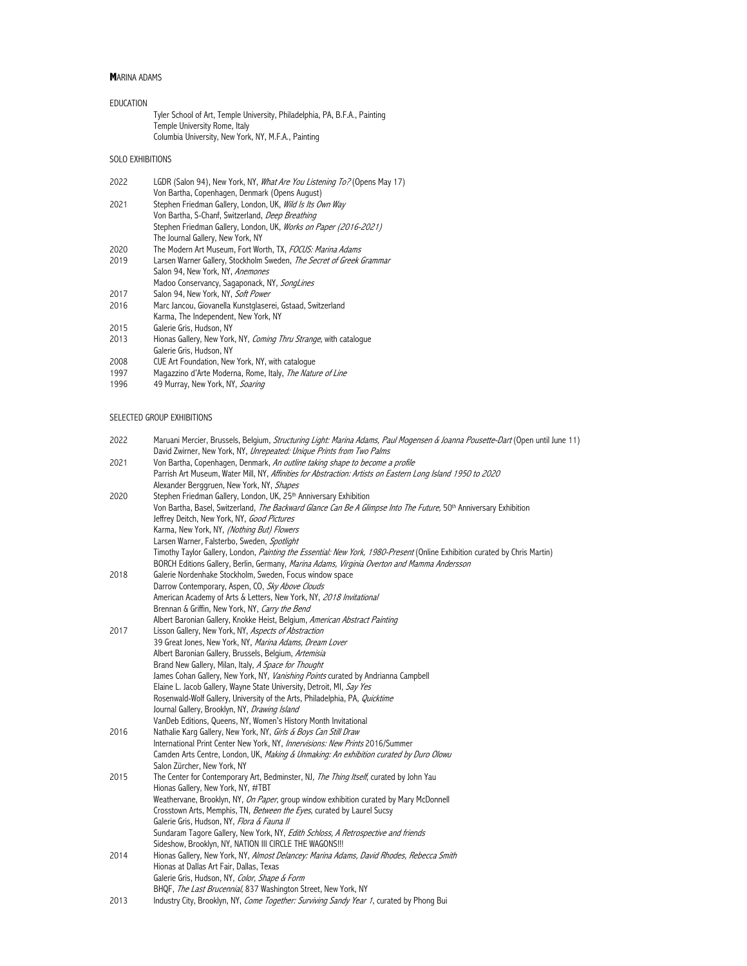# **M**ARINA ADAMS

| EDUCATION |                                                                            |
|-----------|----------------------------------------------------------------------------|
|           | Tyler School of Art, Temple University, Philadelphia, PA, B.F.A., Painting |
|           | Temple University Rome, Italy                                              |
|           | Columbia University, New York, NY, M.F.A., Painting                        |

# SOLO EXHIBITIONS

| 2022 | LGDR (Salon 94), New York, NY, What Are You Listening To? (Opens May 17) |
|------|--------------------------------------------------------------------------|
|      | Von Bartha, Copenhagen, Denmark (Opens August)                           |
| 2021 | Stephen Friedman Gallery, London, UK, Wild Is Its Own Way                |
|      | Von Bartha, S-Chanf, Switzerland, <i>Deep Breathing</i>                  |
|      | Stephen Friedman Gallery, London, UK, Works on Paper (2016-2021)         |
|      | The Journal Gallery, New York, NY                                        |
| 2020 | The Modern Art Museum, Fort Worth, TX, FOCUS: Marina Adams               |
| 2019 | Larsen Warner Gallery, Stockholm Sweden, The Secret of Greek Grammar     |
|      | Salon 94, New York, NY, Anemones                                         |
|      | Madoo Conservancy, Sagaponack, NY, SongLines                             |
| 2017 | Salon 94, New York, NY, Soft Power                                       |
| 2016 | Marc Jancou, Giovanella Kunstglaserei, Gstaad, Switzerland               |
|      | Karma, The Independent, New York, NY                                     |
| 2015 | Galerie Gris, Hudson, NY                                                 |
| 2013 | Hionas Gallery, New York, NY, Coming Thru Strange, with catalogue        |
|      | Galerie Gris, Hudson, NY                                                 |
|      |                                                                          |

- 2008 CUE Art Foundation, New York, NY, with catalogue
- 1997 Magazzino d'Arte Moderna, Rome, Italy, The Nature of Line
- 1996 49 Murray, New York, NY, Soaring

# SELECTED GROUP EXHIBITIONS

| 2022 | Maruani Mercier, Brussels, Belgium, <i>Structuring Light: Marina Adams, Paul Mogensen &amp; Joanna Pousette-Dart</i> (Open until June 11)<br>David Zwirner, New York, NY, Unrepeated: Unique Prints from Two Palms |
|------|--------------------------------------------------------------------------------------------------------------------------------------------------------------------------------------------------------------------|
| 2021 | Von Bartha, Copenhagen, Denmark, An outline taking shape to become a profile                                                                                                                                       |
|      | Parrish Art Museum, Water Mill, NY, Affinities for Abstraction: Artists on Eastern Long Island 1950 to 2020                                                                                                        |
|      | Alexander Berggruen, New York, NY, Shapes                                                                                                                                                                          |
| 2020 | Stephen Friedman Gallery, London, UK, 25th Anniversary Exhibition                                                                                                                                                  |
|      | Von Bartha, Basel, Switzerland, The Backward Glance Can Be A Glimpse Into The Future, 50 <sup>th</sup> Anniversary Exhibition                                                                                      |
|      | Jeffrey Deitch, New York, NY, Good Pictures                                                                                                                                                                        |
|      | Karma, New York, NY, (Nothing But) Flowers                                                                                                                                                                         |
|      | Larsen Warner, Falsterbo, Sweden, Spotlight                                                                                                                                                                        |
|      | Timothy Taylor Gallery, London, Painting the Essential: New York, 1980-Present (Online Exhibition curated by Chris Martin)                                                                                         |
|      | BORCH Editions Gallery, Berlin, Germany, Marina Adams, Virginia Overton and Mamma Andersson                                                                                                                        |
| 2018 | Galerie Nordenhake Stockholm, Sweden, Focus window space                                                                                                                                                           |
|      | Darrow Contemporary, Aspen, CO, Sky Above Clouds                                                                                                                                                                   |
|      | American Academy of Arts & Letters, New York, NY, 2018 Invitational                                                                                                                                                |
|      | Brennan & Griffin, New York, NY, Carry the Bend                                                                                                                                                                    |
|      | Albert Baronian Gallery, Knokke Heist, Belgium, American Abstract Painting                                                                                                                                         |
| 2017 | Lisson Gallery, New York, NY, Aspects of Abstraction                                                                                                                                                               |
|      | 39 Great Jones, New York, NY, Marina Adams, Dream Lover                                                                                                                                                            |
|      | Albert Baronian Gallery, Brussels, Belgium, Artemisia                                                                                                                                                              |
|      | Brand New Gallery, Milan, Italy, A Space for Thought                                                                                                                                                               |
|      | James Cohan Gallery, New York, NY, Vanishing Points curated by Andrianna Campbell                                                                                                                                  |
|      | Elaine L. Jacob Gallery, Wayne State University, Detroit, MI, Say Yes                                                                                                                                              |
|      | Rosenwald-Wolf Gallery, University of the Arts, Philadelphia, PA, Quicktime                                                                                                                                        |
|      | Journal Gallery, Brooklyn, NY, Drawing Island                                                                                                                                                                      |
|      | VanDeb Editions, Queens, NY, Women's History Month Invitational                                                                                                                                                    |
| 2016 | Nathalie Karg Gallery, New York, NY, Girls & Boys Can Still Draw                                                                                                                                                   |
|      | International Print Center New York, NY, Innervisions: New Prints 2016/Summer                                                                                                                                      |
|      | Camden Arts Centre, London, UK, Making & Unmaking: An exhibition curated by Duro Olowu                                                                                                                             |
|      | Salon Zürcher, New York, NY                                                                                                                                                                                        |
| 2015 | The Center for Contemporary Art, Bedminster, NJ, The Thing Itself, curated by John Yau                                                                                                                             |
|      | Hionas Gallery, New York, NY, #TBT                                                                                                                                                                                 |
|      | Weathervane, Brooklyn, NY, On Paper, group window exhibition curated by Mary McDonnell                                                                                                                             |
|      | Crosstown Arts, Memphis, TN, Between the Eyes, curated by Laurel Sucsy                                                                                                                                             |
|      | Galerie Gris, Hudson, NY, Flora & Fauna II                                                                                                                                                                         |
|      | Sundaram Tagore Gallery, New York, NY, Edith Schloss, A Retrospective and friends                                                                                                                                  |
|      | Sideshow, Brooklyn, NY, NATION III CIRCLE THE WAGONS !!!                                                                                                                                                           |
| 2014 | Hionas Gallery, New York, NY, Almost Delancey: Marina Adams, David Rhodes, Rebecca Smith                                                                                                                           |
|      | Hionas at Dallas Art Fair, Dallas, Texas                                                                                                                                                                           |
|      | Galerie Gris, Hudson, NY, Color, Shape & Form                                                                                                                                                                      |
|      | BHQF, The Last Brucennial, 837 Washington Street, New York, NY                                                                                                                                                     |
| 2013 | Industry City, Brooklyn, NY, Come Together: Surviving Sandy Year 1, curated by Phong Bui                                                                                                                           |
|      |                                                                                                                                                                                                                    |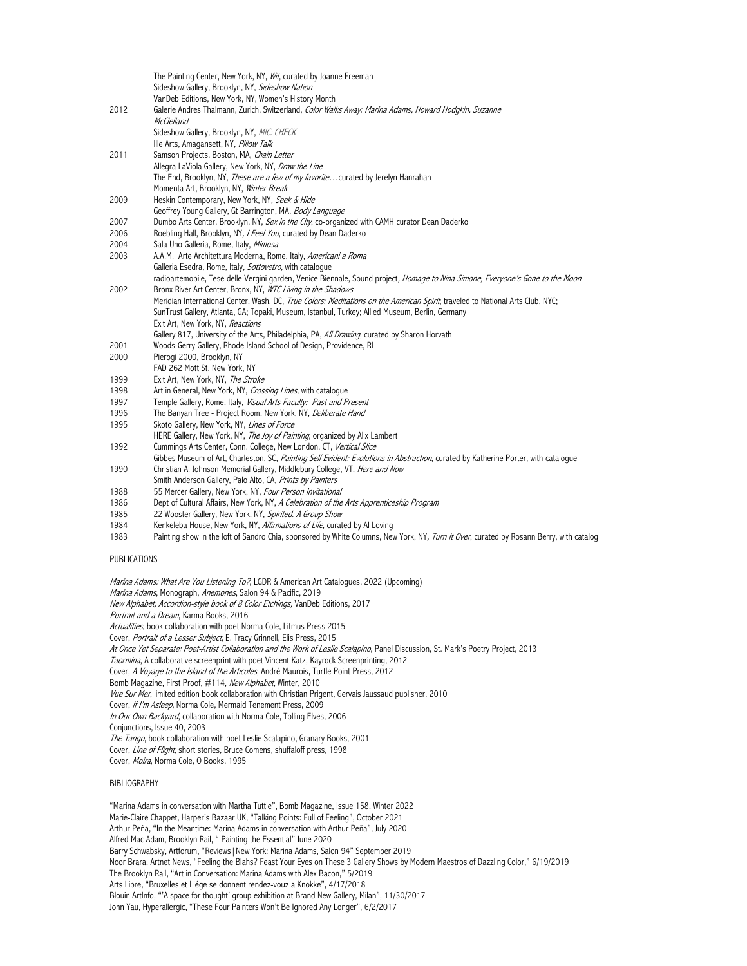|              | The Painting Center, New York, NY, Wit, curated by Joanne Freeman<br>Sideshow Gallery, Brooklyn, NY, Sideshow Nation                    |
|--------------|-----------------------------------------------------------------------------------------------------------------------------------------|
|              | VanDeb Editions, New York, NY, Women's History Month                                                                                    |
| 2012         | Galerie Andres Thalmann, Zurich, Switzerland, Color Walks Away: Marina Adams, Howard Hodgkin, Suzanne                                   |
|              | <b>McClelland</b>                                                                                                                       |
|              | Sideshow Gallery, Brooklyn, NY, MIC: CHECK                                                                                              |
|              | Ille Arts, Amagansett, NY, Pillow Talk                                                                                                  |
| 2011         | Samson Projects, Boston, MA, Chain Letter                                                                                               |
|              |                                                                                                                                         |
|              | Allegra LaViola Gallery, New York, NY, Draw the Line                                                                                    |
|              | The End, Brooklyn, NY, <i>These are a few of my favorite</i> curated by Jerelyn Hanrahan<br>Momenta Art, Brooklyn, NY, Winter Break     |
|              |                                                                                                                                         |
| 2009         | Heskin Contemporary, New York, NY, Seek & Hide                                                                                          |
|              | Geoffrey Young Gallery, Gt Barrington, MA, Body Language                                                                                |
| 2007         | Dumbo Arts Center, Brooklyn, NY, Sex in the City, co-organized with CAMH curator Dean Daderko                                           |
| 2006         | Roebling Hall, Brooklyn, NY, I Feel You, curated by Dean Daderko                                                                        |
| 2004         | Sala Uno Galleria, Rome, Italy, Mimosa                                                                                                  |
| 2003         | A.A.M. Arte Architettura Moderna, Rome, Italy, Americani a Roma                                                                         |
|              | Galleria Esedra, Rome, Italy, Sottovetro, with cataloque                                                                                |
|              | radioartemobile, Tese delle Vergini garden, Venice Biennale, Sound project, Homage to Nina Simone, Everyone's Gone to the Moon          |
| 2002         | Bronx River Art Center, Bronx, NY, WTC Living in the Shadows                                                                            |
|              | Meridian International Center, Wash. DC, True Colors: Meditations on the American Spirit, traveled to National Arts Club, NYC;          |
|              | SunTrust Gallery, Atlanta, GA; Topaki, Museum, Istanbul, Turkey; Allied Museum, Berlin, Germany                                         |
|              | Exit Art, New York, NY, Reactions                                                                                                       |
|              | Gallery 817, University of the Arts, Philadelphia, PA, All Drawing, curated by Sharon Horvath                                           |
| 2001         | Woods-Gerry Gallery, Rhode Island School of Design, Providence, RI                                                                      |
| 2000         | Pierogi 2000, Brooklyn, NY                                                                                                              |
|              | FAD 262 Mott St. New York, NY                                                                                                           |
| 1999         | Exit Art, New York, NY, The Stroke                                                                                                      |
| 1998         | Art in General, New York, NY, Crossing Lines, with cataloque                                                                            |
| 1997         | Temple Gallery, Rome, Italy, Visual Arts Faculty: Past and Present                                                                      |
| 1996         | The Banyan Tree - Project Room, New York, NY, Deliberate Hand                                                                           |
| 1995         | Skoto Gallery, New York, NY, Lines of Force                                                                                             |
|              | HERE Gallery, New York, NY, The Joy of Painting, organized by Alix Lambert                                                              |
| 1992         | Cummings Arts Center, Conn. College, New London, CT, Vertical Slice                                                                     |
|              | Gibbes Museum of Art, Charleston, SC, Painting Self Evident: Evolutions in Abstraction, curated by Katherine Porter, with catalogue     |
| 1990         | Christian A. Johnson Memorial Gallery, Middlebury College, VT, Here and Now                                                             |
|              | Smith Anderson Gallery, Palo Alto, CA, Prints by Painters                                                                               |
| 1988         | 55 Mercer Gallery, New York, NY, Four Person Invitational                                                                               |
| 1986         | Dept of Cultural Affairs, New York, NY, A Celebration of the Arts Apprenticeship Program                                                |
| 1985         | 22 Wooster Gallery, New York, NY, Spirited: A Group Show                                                                                |
| 1984         | Kenkeleba House, New York, NY, Affirmations of Life, curated by Al Loving                                                               |
| 1983         | Painting show in the loft of Sandro Chia, sponsored by White Columns, New York, NY, Turn It Over, curated by Rosann Berry, with catalog |
| PUBLICATIONS |                                                                                                                                         |

Marina Adams: What Are You Listening To?, LGDR & American Art Catalogues, 2022 (Upcoming) Marina Adams, Monograph, Anemones, Salon 94 & Pacific, 2019 New Alphabet, Accordion-style book of 8 Color Etchings, VanDeb Editions, 2017 Portrait and a Dream, Karma Books, 2016 Actualities, book collaboration with poet Norma Cole, Litmus Press 2015 Cover, Portrait of a Lesser Subject, E. Tracy Grinnell, Elis Press, 2015 At Once Yet Separate: Poet-Artist Collaboration and the Work of Leslie Scalapino, Panel Discussion, St. Mark's Poetry Project, 2013 Taormina, A collaborative screenprint with poet Vincent Katz, Kayrock Screenprinting, 2012 Cover, A Voyage to the Island of the Articoles, André Maurois, Turtle Point Press, 2012 Bomb Magazine, First Proof, #114, New Alphabet, Winter, 2010 Vue Sur Mer, limited edition book collaboration with Christian Prigent, Gervais Jaussaud publisher, 2010 Cover, If I'm Asleep, Norma Cole, Mermaid Tenement Press, 2009 In Our Own Backyard, collaboration with Norma Cole, Tolling Elves, 2006 Conjunctions, Issue 40, 2003 The Tango, book collaboration with poet Leslie Scalapino, Granary Books, 2001 Cover, Line of Flight, short stories, Bruce Comens, shuffaloff press, 1998 Cover, Moira, Norma Cole, O Books, 1995

## BIBLIOGRAPHY

"Marina Adams in conversation with Martha Tuttle", Bomb Magazine, Issue 158, Winter 2022 Marie-Claire Chappet, Harper's Bazaar UK, "Talking Points: Full of Feeling", October 2021 Arthur Peña, "In the Meantime: Marina Adams in conversation with Arthur Peña", July 2020 Alfred Mac Adam, Brooklyn Rail, " Painting the Essential" June 2020 Barry Schwabsky, Artforum, "Reviews|New York: Marina Adams, Salon 94" September 2019 Noor Brara, Artnet News, "Feeling the Blahs? Feast Your Eyes on These 3 Gallery Shows by Modern Maestros of Dazzling Color," 6/19/2019 The Brooklyn Rail, "Art in Conversation: Marina Adams with Alex Bacon," 5/2019 Arts Libre, "Bruxelles et Liége se donnent rendez-vouz a Knokke", 4/17/2018 Blouin ArtInfo, "'A space for thought' group exhibition at Brand New Gallery, Milan", 11/30/2017 John Yau, Hyperallergic, "These Four Painters Won't Be Ignored Any Longer", 6/2/2017